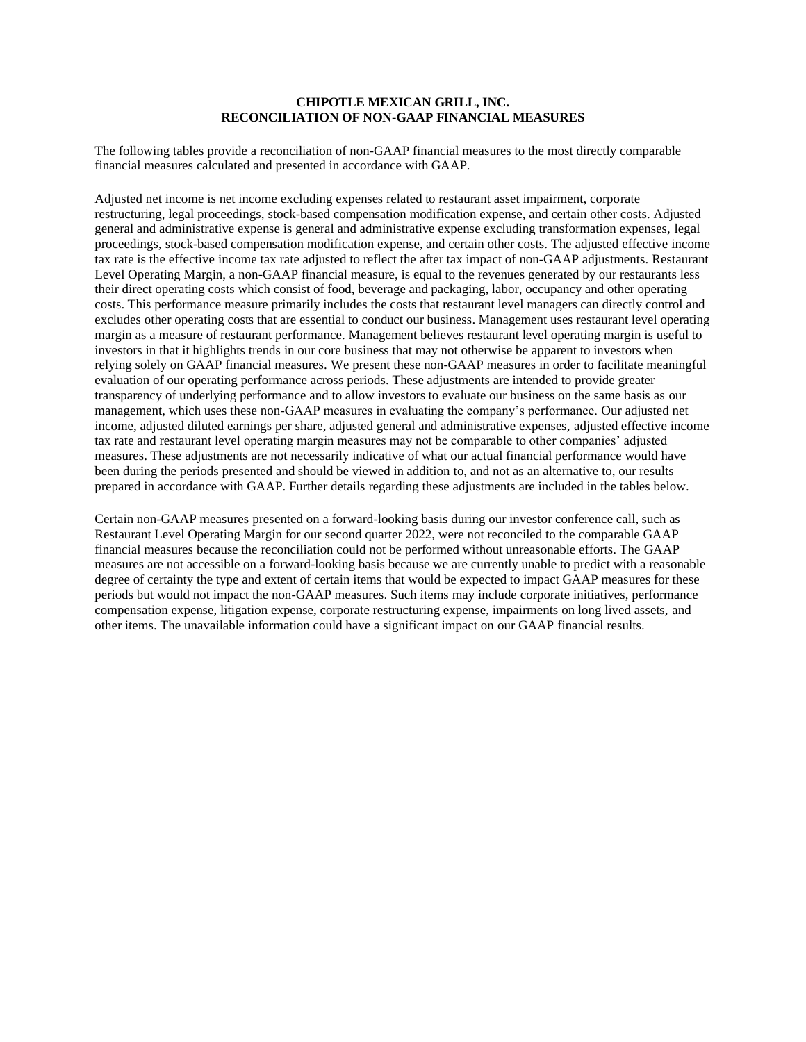The following tables provide a reconciliation of non-GAAP financial measures to the most directly comparable financial measures calculated and presented in accordance with GAAP.

Adjusted net income is net income excluding expenses related to restaurant asset impairment, corporate restructuring, legal proceedings, stock-based compensation modification expense, and certain other costs. Adjusted general and administrative expense is general and administrative expense excluding transformation expenses, legal proceedings, stock-based compensation modification expense, and certain other costs. The adjusted effective income tax rate is the effective income tax rate adjusted to reflect the after tax impact of non-GAAP adjustments. Restaurant Level Operating Margin, a non-GAAP financial measure, is equal to the revenues generated by our restaurants less their direct operating costs which consist of food, beverage and packaging, labor, occupancy and other operating costs. This performance measure primarily includes the costs that restaurant level managers can directly control and excludes other operating costs that are essential to conduct our business. Management uses restaurant level operating margin as a measure of restaurant performance. Management believes restaurant level operating margin is useful to investors in that it highlights trends in our core business that may not otherwise be apparent to investors when relying solely on GAAP financial measures. We present these non-GAAP measures in order to facilitate meaningful evaluation of our operating performance across periods. These adjustments are intended to provide greater transparency of underlying performance and to allow investors to evaluate our business on the same basis as our management, which uses these non-GAAP measures in evaluating the company's performance. Our adjusted net income, adjusted diluted earnings per share, adjusted general and administrative expenses, adjusted effective income tax rate and restaurant level operating margin measures may not be comparable to other companies' adjusted measures. These adjustments are not necessarily indicative of what our actual financial performance would have been during the periods presented and should be viewed in addition to, and not as an alternative to, our results prepared in accordance with GAAP. Further details regarding these adjustments are included in the tables below.

Certain non-GAAP measures presented on a forward-looking basis during our investor conference call, such as Restaurant Level Operating Margin for our second quarter 2022, were not reconciled to the comparable GAAP financial measures because the reconciliation could not be performed without unreasonable efforts. The GAAP measures are not accessible on a forward-looking basis because we are currently unable to predict with a reasonable degree of certainty the type and extent of certain items that would be expected to impact GAAP measures for these periods but would not impact the non-GAAP measures. Such items may include corporate initiatives, performance compensation expense, litigation expense, corporate restructuring expense, impairments on long lived assets, and other items. The unavailable information could have a significant impact on our GAAP financial results.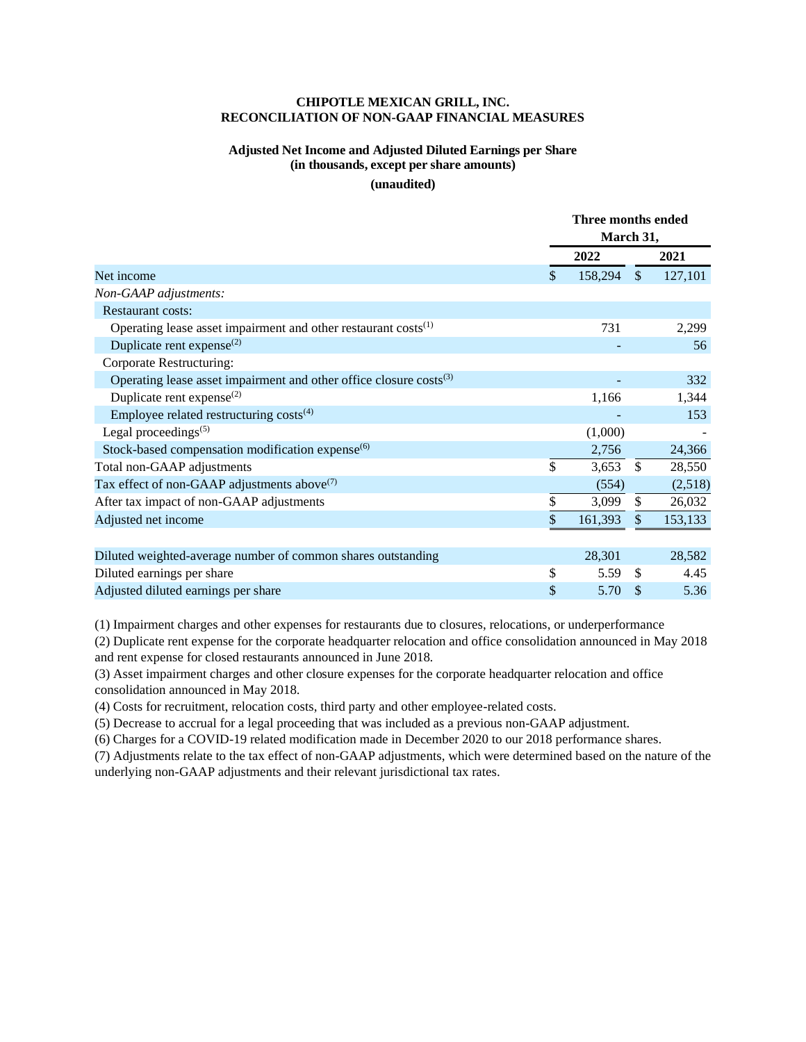# **Adjusted Net Income and Adjusted Diluted Earnings per Share (in thousands, except per share amounts)**

**(unaudited)**

|                                                                                | Three months ended<br>March 31, |         |                           |         |
|--------------------------------------------------------------------------------|---------------------------------|---------|---------------------------|---------|
|                                                                                |                                 | 2022    |                           | 2021    |
| Net income                                                                     | \$                              | 158,294 | $\mathcal{S}$             | 127,101 |
| Non-GAAP adjustments:                                                          |                                 |         |                           |         |
| <b>Restaurant costs:</b>                                                       |                                 |         |                           |         |
| Operating lease asset impairment and other restaurant costs <sup>(1)</sup>     |                                 | 731     |                           | 2,299   |
| Duplicate rent expense $^{(2)}$                                                |                                 |         |                           | 56      |
| Corporate Restructuring:                                                       |                                 |         |                           |         |
| Operating lease asset impairment and other office closure costs <sup>(3)</sup> |                                 |         |                           | 332     |
| Duplicate rent expense $^{(2)}$                                                |                                 | 1,166   |                           | 1,344   |
| Employee related restructuring $costs^{(4)}$                                   |                                 |         |                           | 153     |
| Legal proceedings $(5)$                                                        |                                 | (1,000) |                           |         |
| Stock-based compensation modification expense <sup>(6)</sup>                   |                                 | 2,756   |                           | 24,366  |
| Total non-GAAP adjustments                                                     | \$                              | 3,653   | $\mathcal{S}$             | 28,550  |
| Tax effect of non-GAAP adjustments above $(7)$                                 |                                 | (554)   |                           | (2,518) |
| After tax impact of non-GAAP adjustments                                       | \$                              | 3,099   | $\boldsymbol{\mathsf{S}}$ | 26,032  |
| Adjusted net income                                                            | \$                              | 161,393 | $\mathcal{S}$             | 153,133 |
|                                                                                |                                 |         |                           |         |
| Diluted weighted-average number of common shares outstanding                   |                                 | 28,301  |                           | 28,582  |
| Diluted earnings per share                                                     | \$                              | 5.59    | <sup>\$</sup>             | 4.45    |
| Adjusted diluted earnings per share                                            | \$                              | 5.70    | <sup>\$</sup>             | 5.36    |
|                                                                                |                                 |         |                           |         |

(1) Impairment charges and other expenses for restaurants due to closures, relocations, or underperformance

(2) Duplicate rent expense for the corporate headquarter relocation and office consolidation announced in May 2018 and rent expense for closed restaurants announced in June 2018.

(3) Asset impairment charges and other closure expenses for the corporate headquarter relocation and office consolidation announced in May 2018.

(4) Costs for recruitment, relocation costs, third party and other employee-related costs.

(5) Decrease to accrual for a legal proceeding that was included as a previous non-GAAP adjustment.

(6) Charges for a COVID-19 related modification made in December 2020 to our 2018 performance shares.

(7) Adjustments relate to the tax effect of non-GAAP adjustments, which were determined based on the nature of the underlying non-GAAP adjustments and their relevant jurisdictional tax rates.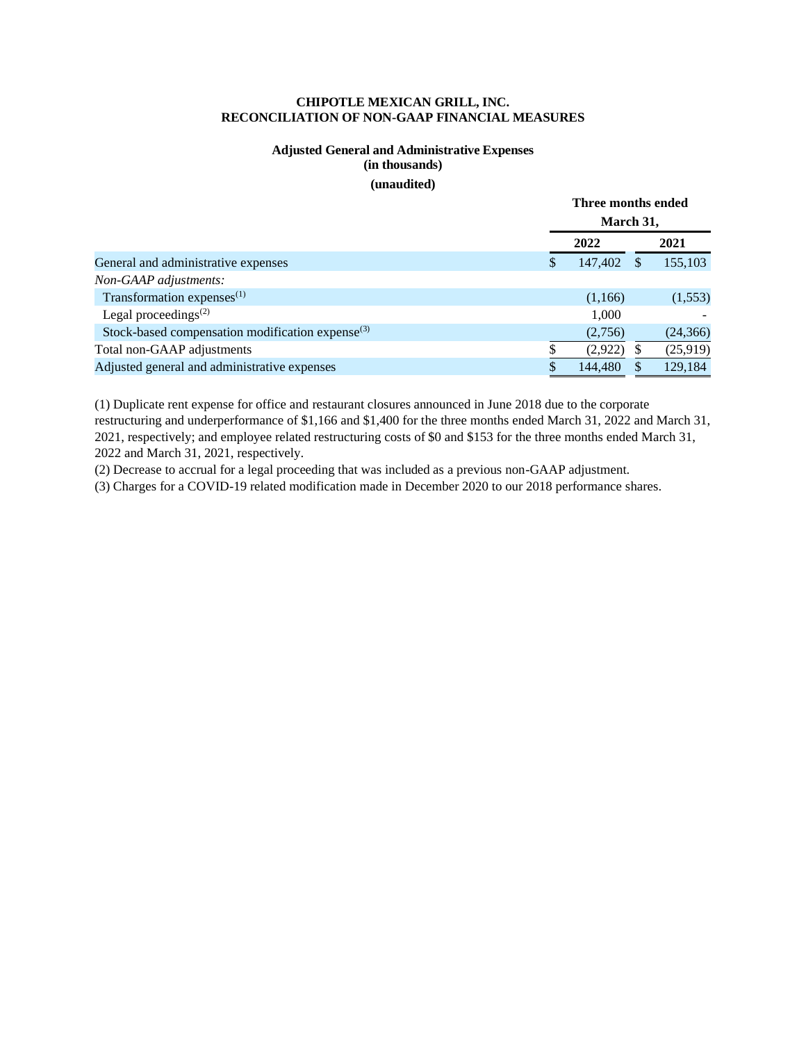# **Adjusted General and Administrative Expenses (in thousands)**

**(unaudited)**

|                                                     |  | Three months ended<br>March 31, |    |           |  |
|-----------------------------------------------------|--|---------------------------------|----|-----------|--|
|                                                     |  |                                 |    |           |  |
|                                                     |  | 2022                            |    | 2021      |  |
| General and administrative expenses                 |  | 147,402                         | -S | 155,103   |  |
| Non-GAAP adjustments:                               |  |                                 |    |           |  |
| Transformation expenses $^{(1)}$                    |  | (1,166)                         |    | (1,553)   |  |
| Legal proceedings $(2)$                             |  | 1,000                           |    |           |  |
| Stock-based compensation modification expense $(3)$ |  | (2,756)                         |    | (24, 366) |  |
| Total non-GAAP adjustments                          |  | (2,922)                         |    | (25,919)  |  |
| Adjusted general and administrative expenses        |  | 144,480                         |    | 129,184   |  |

(1) Duplicate rent expense for office and restaurant closures announced in June 2018 due to the corporate restructuring and underperformance of \$1,166 and \$1,400 for the three months ended March 31, 2022 and March 31, 2021, respectively; and employee related restructuring costs of \$0 and \$153 for the three months ended March 31, 2022 and March 31, 2021, respectively.

(2) Decrease to accrual for a legal proceeding that was included as a previous non-GAAP adjustment.

(3) Charges for a COVID-19 related modification made in December 2020 to our 2018 performance shares.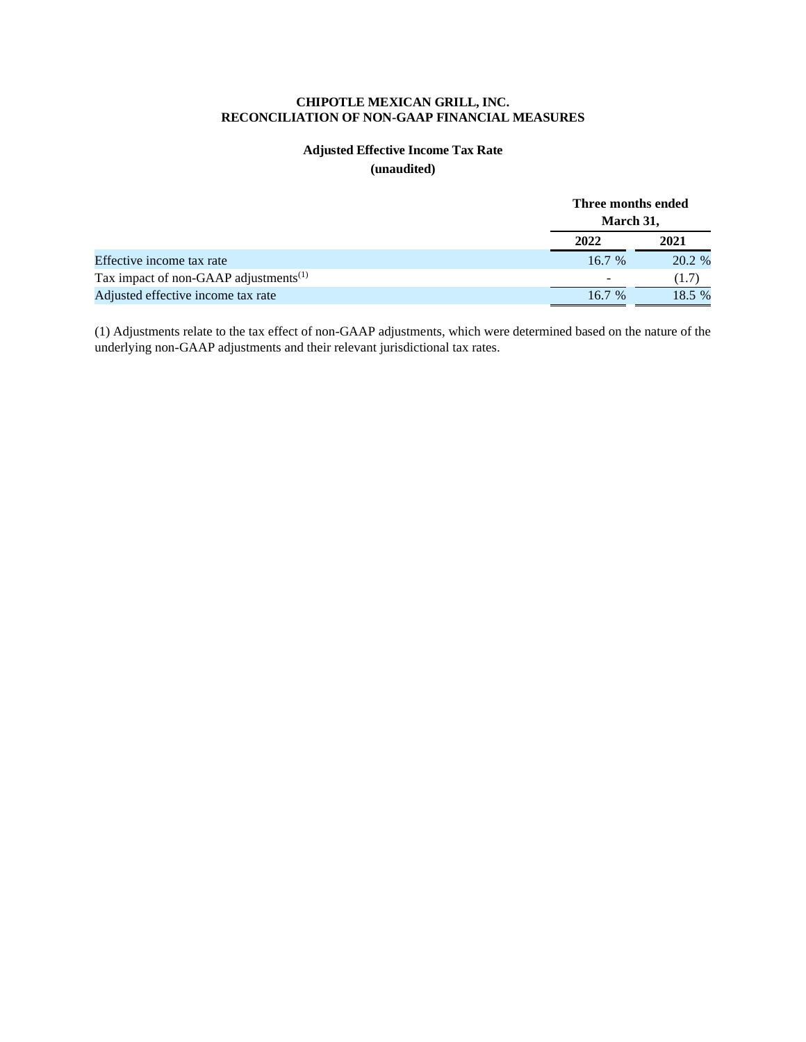# **Adjusted Effective Income Tax Rate**

**(unaudited)**

|                                                   |                          | Three months ended<br>March 31, |  |  |
|---------------------------------------------------|--------------------------|---------------------------------|--|--|
|                                                   | 2022                     | 2021                            |  |  |
| Effective income tax rate                         | $16.7\%$                 | 20.2 %                          |  |  |
| Tax impact of non-GAAP adjustments <sup>(1)</sup> | $\overline{\phantom{a}}$ | (1.7)                           |  |  |
| Adjusted effective income tax rate                | $16.7\%$                 | 18.5 %                          |  |  |

(1) Adjustments relate to the tax effect of non-GAAP adjustments, which were determined based on the nature of the underlying non-GAAP adjustments and their relevant jurisdictional tax rates.